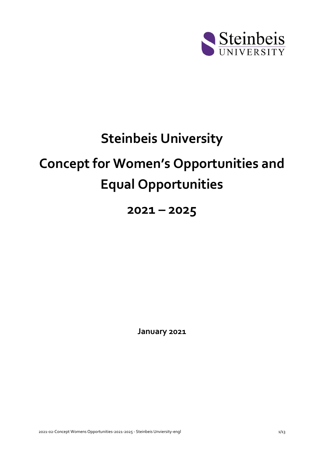

# **Steinbeis University**

# **Concept for Women's Opportunities and Equal Opportunities**

# **2021 – 2025**

**January 2021**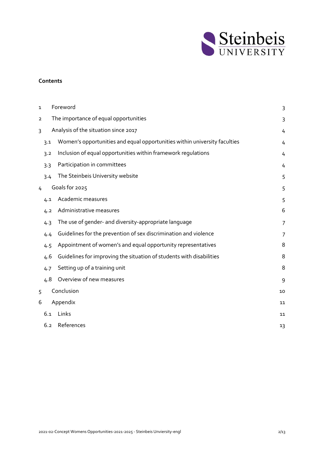

#### **Contents**

| 1              |     | Foreword<br>3                                                             |    |  |
|----------------|-----|---------------------------------------------------------------------------|----|--|
| $\overline{2}$ |     | The importance of equal opportunities                                     | 3  |  |
| 3              |     | Analysis of the situation since 2017                                      | 4  |  |
|                | 3.1 | Women's opportunities and equal opportunities within university faculties | 4  |  |
|                | 3.2 | Inclusion of equal opportunities within framework regulations             | 4  |  |
|                | 3.3 | Participation in committees                                               | 4  |  |
|                | 3.4 | The Steinbeis University website                                          | 5  |  |
| 4              |     | Goals for 2025                                                            | 5  |  |
|                | 4.1 | Academic measures                                                         | 5  |  |
|                | 4.2 | Administrative measures                                                   | 6  |  |
|                | 4.3 | The use of gender- and diversity-appropriate language                     | 7  |  |
|                | 4.4 | Guidelines for the prevention of sex discrimination and violence          | 7  |  |
|                | 4.5 | Appointment of women's and equal opportunity representatives              | 8  |  |
|                | 4.6 | Guidelines for improving the situation of students with disabilities      | 8  |  |
|                | 4.7 | Setting up of a training unit                                             | 8  |  |
|                | 4.8 | Overview of new measures                                                  | 9  |  |
| 5              |     | Conclusion                                                                | 10 |  |
| 6              |     | Appendix                                                                  | 11 |  |
|                | 6.1 | Links                                                                     | 11 |  |
|                | 6.2 | References                                                                | 13 |  |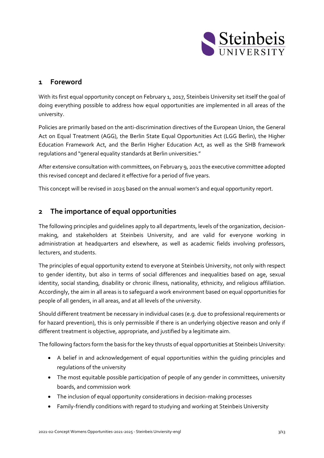

# <span id="page-2-0"></span>**1 Foreword**

With its first equal opportunity concept on February 1, 2017, Steinbeis University set itself the goal of doing everything possible to address how equal opportunities are implemented in all areas of the university.

Policies are primarily based on the anti-discrimination directives of the European Union, the General Act on Equal Treatment (AGG), the Berlin State Equal Opportunities Act (LGG Berlin), the Higher Education Framework Act, and the Berlin Higher Education Act, as well as the SHB framework regulations and "general equality standards at Berlin universities."

After extensive consultation with committees, on February 9, 2021 the executive committee adopted this revised concept and declared it effective for a period of five years.

This concept will be revised in 2025 based on the annual women's and equal opportunity report.

# <span id="page-2-1"></span>**2 The importance of equal opportunities**

The following principles and guidelines apply to all departments, levels of the organization, decisionmaking, and stakeholders at Steinbeis University, and are valid for everyone working in administration at headquarters and elsewhere, as well as academic fields involving professors, lecturers, and students.

The principles of equal opportunity extend to everyone at Steinbeis University, not only with respect to gender identity, but also in terms of social differences and inequalities based on age, sexual identity, social standing, disability or chronic illness, nationality, ethnicity, and religious affiliation. Accordingly, the aim in all areas is to safeguard a work environment based on equal opportunities for people of all genders, in all areas, and at all levels of the university.

Should different treatment be necessary in individual cases (e.g. due to professional requirements or for hazard prevention), this is only permissible if there is an underlying objective reason and only if different treatment is objective, appropriate, and justified by a legitimate aim.

The following factors form the basis for the key thrusts of equal opportunities at Steinbeis University:

- A belief in and acknowledgement of equal opportunities within the guiding principles and regulations of the university
- The most equitable possible participation of people of any gender in committees, university boards, and commission work
- The inclusion of equal opportunity considerations in decision-making processes
- Family-friendly conditions with regard to studying and working at Steinbeis University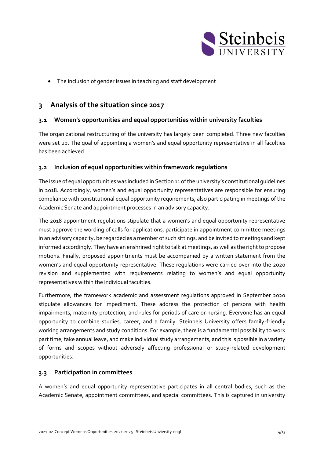

• The inclusion of gender issues in teaching and staff development

# <span id="page-3-0"></span>**3 Analysis of the situation since 2017**

# <span id="page-3-1"></span>**3.1 Women's opportunities and equal opportunities within university faculties**

The organizational restructuring of the university has largely been completed. Three new faculties were set up. The goal of appointing a women's and equal opportunity representative in all faculties has been achieved.

### <span id="page-3-2"></span>**3.2 Inclusion of equal opportunities within framework regulations**

The issue of equal opportunities was included in Section 11 of the university's constitutional guidelines in 2018. Accordingly, women's and equal opportunity representatives are responsible for ensuring compliance with constitutional equal opportunity requirements, also participating in meetings of the Academic Senate and appointment processes in an advisory capacity.

The 2018 appointment regulations stipulate that a women's and equal opportunity representative must approve the wording of calls for applications, participate in appointment committee meetings in an advisory capacity, be regarded as a member of such sittings, and be invited to meetings and kept informed accordingly. They have an enshrined right to talk at meetings, as well as the right to propose motions. Finally, proposed appointments must be accompanied by a written statement from the women's and equal opportunity representative. These regulations were carried over into the 2020 revision and supplemented with requirements relating to women's and equal opportunity representatives within the individual faculties.

Furthermore, the framework academic and assessment regulations approved in September 2020 stipulate allowances for impediment. These address the protection of persons with health impairments, maternity protection, and rules for periods of care or nursing. Everyone has an equal opportunity to combine studies, career, and a family. Steinbeis University offers family-friendly working arrangements and study conditions. For example, there is a fundamental possibility to work part time, take annual leave, and make individual study arrangements, and this is possible in a variety of forms and scopes without adversely affecting professional or study-related development opportunities.

#### <span id="page-3-3"></span>**3.3 Participation in committees**

A women's and equal opportunity representative participates in all central bodies, such as the Academic Senate, appointment committees, and special committees. This is captured in university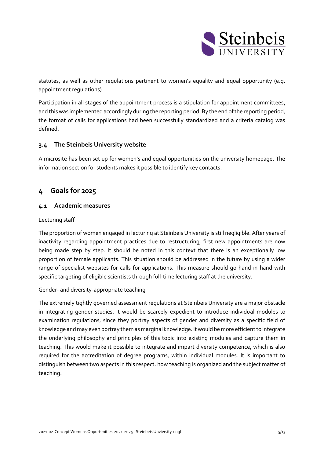

statutes, as well as other regulations pertinent to women's equality and equal opportunity (e.g. appointment regulations).

Participation in all stages of the appointment process is a stipulation for appointment committees, and this was implemented accordingly during the reporting period. By the end of the reporting period, the format of calls for applications had been successfully standardized and a criteria catalog was defined.

# <span id="page-4-0"></span>**3.4 The Steinbeis University website**

A microsite has been set up for women's and equal opportunities on the university homepage. The information section for students makes it possible to identify key contacts.

# <span id="page-4-1"></span>**4 Goals for 2025**

### <span id="page-4-2"></span>**4.1 Academic measures**

#### Lecturing staff

The proportion of women engaged in lecturing at Steinbeis University is still negligible. After years of inactivity regarding appointment practices due to restructuring, first new appointments are now being made step by step. It should be noted in this context that there is an exceptionally low proportion of female applicants. This situation should be addressed in the future by using a wider range of specialist websites for calls for applications. This measure should go hand in hand with specific targeting of eligible scientists through full-time lecturing staff at the university.

#### Gender- and diversity-appropriate teaching

The extremely tightly governed assessment regulations at Steinbeis University are a major obstacle in integrating gender studies. It would be scarcely expedient to introduce individual modules to examination regulations, since they portray aspects of gender and diversity as a specific field of knowledge and may even portray them as marginal knowledge. It would be more efficient to integrate the underlying philosophy and principles of this topic into existing modules and capture them in teaching. This would make it possible to integrate and impart diversity competence, which is also required for the accreditation of degree programs, within individual modules. It is important to distinguish between two aspects in this respect: how teaching is organized and the subject matter of teaching.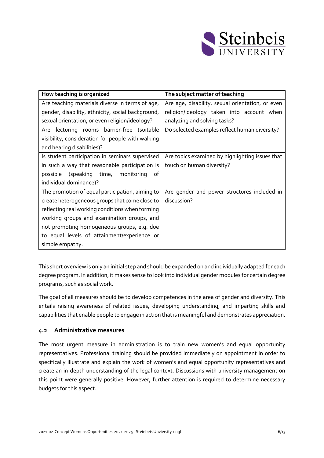

| How teaching is organized                         | The subject matter of teaching                   |  |
|---------------------------------------------------|--------------------------------------------------|--|
| Are teaching materials diverse in terms of age,   | Are age, disability, sexual orientation, or even |  |
| gender, disability, ethnicity, social background, | religion/ideology taken into account when        |  |
| sexual orientation, or even religion/ideology?    | analyzing and solving tasks?                     |  |
| lecturing rooms barrier-free (suitable<br>Are     | Do selected examples reflect human diversity?    |  |
| visibility, consideration for people with walking |                                                  |  |
| and hearing disabilities)?                        |                                                  |  |
| Is student participation in seminars supervised   | Are topics examined by highlighting issues that  |  |
| in such a way that reasonable participation is    | touch on human diversity?                        |  |
| (speaking time, monitoring<br>possible<br>of      |                                                  |  |
| individual dominance)?                            |                                                  |  |
| The promotion of equal participation, aiming to   | Are gender and power structures included in      |  |
| create heterogeneous groups that come close to    | discussion?                                      |  |
| reflecting real working conditions when forming   |                                                  |  |
| working groups and examination groups, and        |                                                  |  |
| not promoting homogeneous groups, e.g. due        |                                                  |  |
| to equal levels of attainment/experience or       |                                                  |  |
| simple empathy.                                   |                                                  |  |

This short overview is only an initial step and should be expanded on and individually adapted for each degree program. In addition, it makes sense to look into individual gender modules for certain degree programs, such as social work.

The goal of all measures should be to develop competences in the area of gender and diversity. This entails raising awareness of related issues, developing understanding, and imparting skills and capabilities that enable people to engage in action that is meaningful and demonstrates appreciation.

#### <span id="page-5-0"></span>**4.2 Administrative measures**

The most urgent measure in administration is to train new women's and equal opportunity representatives. Professional training should be provided immediately on appointment in order to specifically illustrate and explain the work of women's and equal opportunity representatives and create an in-depth understanding of the legal context. Discussions with university management on this point were generally positive. However, further attention is required to determine necessary budgets for this aspect.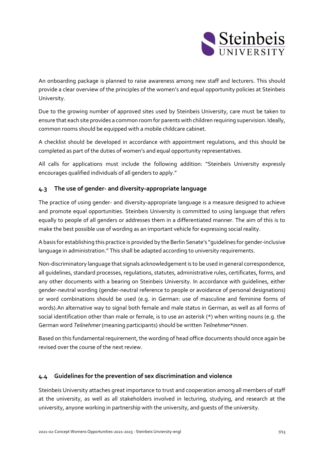

An onboarding package is planned to raise awareness among new staff and lecturers. This should provide a clear overview of the principles of the women's and equal opportunity policies at Steinbeis University.

Due to the growing number of approved sites used by Steinbeis University, care must be taken to ensure that each site provides a common room for parents with children requiring supervision. Ideally, common rooms should be equipped with a mobile childcare cabinet.

A checklist should be developed in accordance with appointment regulations, and this should be completed as part of the duties of women's and equal opportunity representatives.

All calls for applications must include the following addition: "Steinbeis University expressly encourages qualified individuals of all genders to apply."

# <span id="page-6-0"></span>**4.3 The use of gender- and diversity-appropriate language**

The practice of using gender- and diversity-appropriate language is a measure designed to achieve and promote equal opportunities. Steinbeis University is committed to using language that refers equally to people of all genders or addresses them in a differentiated manner. The aim of this is to make the best possible use of wording as an important vehicle for expressing social reality.

A basis for establishing this practice is provided by the Berlin Senate's "guidelines for gender-inclusive language in administration." This shall be adapted according to university requirements.

Non-discriminatory language that signals acknowledgement is to be used in general correspondence, all guidelines, standard processes, regulations, statutes, administrative rules, certificates, forms, and any other documents with a bearing on Steinbeis University. In accordance with guidelines, either gender-neutral wording (gender-neutral reference to people or avoidance of personal designations) or word combinations should be used (e.g. in German: use of masculine and feminine forms of words).An alternative way to signal both female and male status in German, as well as all forms of social identification other than male or female, is to use an asterisk (\*) when writing nouns (e.g. the German word *Teilnehmer* (meaning participants) should be written *Teilnehmer\*innen*.

Based on this fundamental requirement, the wording of head office documents should once again be revised over the course of the next review.

# <span id="page-6-1"></span>**4.4 Guidelines for the prevention of sex discrimination and violence**

Steinbeis University attaches great importance to trust and cooperation among all members of staff at the university, as well as all stakeholders involved in lecturing, studying, and research at the university, anyone working in partnership with the university, and guests of the university.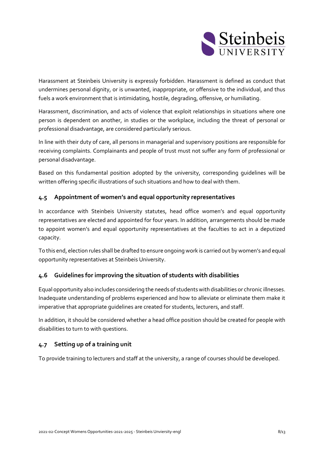

Harassment at Steinbeis University is expressly forbidden. Harassment is defined as conduct that undermines personal dignity, or is unwanted, inappropriate, or offensive to the individual, and thus fuels a work environment that is intimidating, hostile, degrading, offensive, or humiliating.

Harassment, discrimination, and acts of violence that exploit relationships in situations where one person is dependent on another, in studies or the workplace, including the threat of personal or professional disadvantage, are considered particularly serious.

In line with their duty of care, all persons in managerial and supervisory positions are responsible for receiving complaints. Complainants and people of trust must not suffer any form of professional or personal disadvantage.

Based on this fundamental position adopted by the university, corresponding guidelines will be written offering specific illustrations of such situations and how to deal with them.

# <span id="page-7-0"></span>**4.5 Appointment of women's and equal opportunity representatives**

In accordance with Steinbeis University statutes, head office women's and equal opportunity representatives are elected and appointed for four years. In addition, arrangements should be made to appoint women's and equal opportunity representatives at the faculties to act in a deputized capacity.

To this end, election rules shall be drafted to ensure ongoing work is carried out by women's and equal opportunity representatives at Steinbeis University.

# <span id="page-7-1"></span>**4.6 Guidelines for improving the situation of students with disabilities**

Equal opportunity also includes considering the needs of students with disabilities or chronic illnesses. Inadequate understanding of problems experienced and how to alleviate or eliminate them make it imperative that appropriate guidelines are created for students, lecturers, and staff.

In addition, it should be considered whether a head office position should be created for people with disabilities to turn to with questions.

# <span id="page-7-2"></span>**4.7 Setting up of a training unit**

To provide training to lecturers and staff at the university, a range of courses should be developed.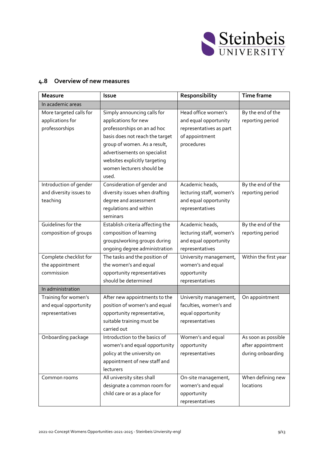

# <span id="page-8-0"></span>**4.8 Overview of new measures**

| <b>Measure</b>                                                   | Issue                                                                                                                                                                                                                                                        | Responsibility                                                                                          | <b>Time frame</b>                                             |
|------------------------------------------------------------------|--------------------------------------------------------------------------------------------------------------------------------------------------------------------------------------------------------------------------------------------------------------|---------------------------------------------------------------------------------------------------------|---------------------------------------------------------------|
| In academic areas                                                |                                                                                                                                                                                                                                                              |                                                                                                         |                                                               |
| More targeted calls for<br>applications for<br>professorships    | Simply announcing calls for<br>applications for new<br>professorships on an ad hoc<br>basis does not reach the target<br>group of women. As a result,<br>advertisements on specialist<br>websites explicitly targeting<br>women lecturers should be<br>used. | Head office women's<br>and equal opportunity<br>representatives as part<br>of appointment<br>procedures | By the end of the<br>reporting period                         |
| Introduction of gender<br>and diversity issues to<br>teaching    | Consideration of gender and<br>diversity issues when drafting<br>degree and assessment<br>regulations and within<br>seminars                                                                                                                                 | Academic heads,<br>lecturing staff, women's<br>and equal opportunity<br>representatives                 | By the end of the<br>reporting period                         |
| Guidelines for the<br>composition of groups                      | Establish criteria affecting the<br>composition of learning<br>groups/working groups during<br>ongoing degree administration                                                                                                                                 | Academic heads,<br>lecturing staff, women's<br>and equal opportunity<br>representatives                 | By the end of the<br>reporting period                         |
| Complete checklist for<br>the appointment<br>commission          | The tasks and the position of<br>the women's and equal<br>opportunity representatives                                                                                                                                                                        | University management,<br>women's and equal<br>opportunity                                              | Within the first year                                         |
|                                                                  | should be determined                                                                                                                                                                                                                                         | representatives                                                                                         |                                                               |
| In administration                                                |                                                                                                                                                                                                                                                              |                                                                                                         |                                                               |
| Training for women's<br>and equal opportunity<br>representatives | After new appointments to the<br>position of women's and equal<br>opportunity representative,<br>suitable training must be<br>carried out                                                                                                                    | University management,<br>faculties, women's and<br>equal opportunity<br>representatives                | On appointment                                                |
| Onboarding package                                               | Introduction to the basics of<br>women's and equal opportunity<br>policy at the university on<br>appointment of new staff and<br>lecturers                                                                                                                   | Women's and equal<br>opportunity<br>representatives                                                     | As soon as possible<br>after appointment<br>during onboarding |
| Common rooms                                                     | All university sites shall<br>designate a common room for<br>child care or as a place for                                                                                                                                                                    | On-site management,<br>women's and equal<br>opportunity<br>representatives                              | When defining new<br>locations                                |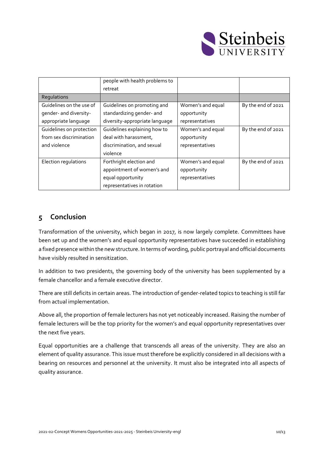

|                          | people with health problems to |                   |                    |
|--------------------------|--------------------------------|-------------------|--------------------|
|                          | retreat                        |                   |                    |
| Regulations              |                                |                   |                    |
| Guidelines on the use of | Guidelines on promoting and    | Women's and equal | By the end of 2021 |
| gender- and diversity-   | standardizing gender- and      | opportunity       |                    |
| appropriate language     | diversity-appropriate language | representatives   |                    |
| Guidelines on protection | Guidelines explaining how to   | Women's and equal | By the end of 2021 |
| from sex discrimination  | deal with harassment,          | opportunity       |                    |
| and violence             | discrimination, and sexual     | representatives   |                    |
|                          | violence                       |                   |                    |
| Election regulations     | Forthright election and        | Women's and equal | By the end of 2021 |
|                          | appointment of women's and     | opportunity       |                    |
|                          | equal opportunity              | representatives   |                    |
|                          | representatives in rotation    |                   |                    |

# <span id="page-9-0"></span>**5 Conclusion**

Transformation of the university, which began in 2017, is now largely complete. Committees have been set up and the women's and equal opportunity representatives have succeeded in establishing a fixed presence within the new structure. In terms of wording, public portrayal and official documents have visibly resulted in sensitization.

In addition to two presidents, the governing body of the university has been supplemented by a female chancellor and a female executive director.

There are still deficits in certain areas. The introduction of gender-related topics to teaching is still far from actual implementation.

Above all, the proportion of female lecturers has not yet noticeably increased. Raising the number of female lecturers will be the top priority for the women's and equal opportunity representatives over the next five years.

Equal opportunities are a challenge that transcends all areas of the university. They are also an element of quality assurance. This issue must therefore be explicitly considered in all decisions with a bearing on resources and personnel at the university. It must also be integrated into all aspects of quality assurance.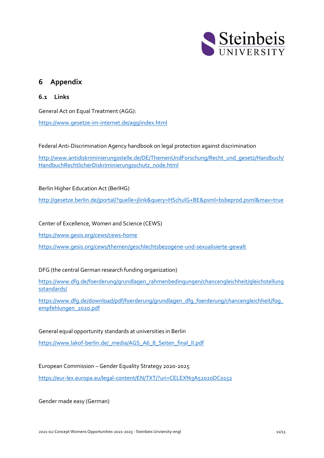

# <span id="page-10-0"></span>**6 Appendix**

## <span id="page-10-1"></span>**6.1 Links**

General Act on Equal Treatment (AGG):

<https://www.gesetze-im-internet.de/agg/index.html>

Federal Anti-Discrimination Agency handbook on legal protection against discrimination

[http://www.antidiskriminierungsstelle.de/DE/ThemenUndForschung/Recht\\_und\\_gesetz/Handbuch/](http://www.antidiskriminierungsstelle.de/DE/ThemenUndForschung/Recht_und_gesetz/Handbuch/HandbuchRechtlicherDiskriminierungsschutz_node.html) [HandbuchRechtlicherDiskriminierungsschutz\\_node.html](http://www.antidiskriminierungsstelle.de/DE/ThemenUndForschung/Recht_und_gesetz/Handbuch/HandbuchRechtlicherDiskriminierungsschutz_node.html)

#### Berlin Higher Education Act (BerlHG)

[http://gesetze.berlin.de/jportal/?quelle=jlink&query=HSchulG+BE&psml=bsbeprod.psml&max=true](http://gesetze.berlin.de/jportal/?quelle=jlink&amp;query=HSchulG+BE&amp;psml=bsbeprod.psml&amp;max=true)

Center of Excellence, Women and Science (CEWS)

<https://www.gesis.org/cews/cews-home>

<https://www.gesis.org/cews/themen/geschlechtsbezogene-und-sexualisierte-gewalt>

#### DFG (the central German research funding organization)

[https://www.dfg.de/foerderung/grundlagen\\_rahmenbedingungen/chancengleichheit/gleichstellung](https://www.dfg.de/foerderung/grundlagen_rahmenbedingungen/chancengleichheit/gleichstellungsstandards/) [sstandards/](https://www.dfg.de/foerderung/grundlagen_rahmenbedingungen/chancengleichheit/gleichstellungsstandards/)

[https://www.dfg.de/download/pdf/foerderung/grundlagen\\_dfg\\_foerderung/chancengleichheit/fog\\_](https://www.dfg.de/download/pdf/foerderung/grundlagen_dfg_foerderung/chancengleichheit/fog_empfehlungen_2020.pdf) [empfehlungen\\_2020.pdf](https://www.dfg.de/download/pdf/foerderung/grundlagen_dfg_foerderung/chancengleichheit/fog_empfehlungen_2020.pdf)

General equal opportunity standards at universities in Berlin [https://www.lakof-berlin.de/\\_media/AGS\\_A6\\_8\\_Seiten\\_final\\_II.pdf](https://www.lakof-berlin.de/_media/AGS_A6_8_Seiten_final_II.pdf)

European Commission – Gender Equality Strategy 2020-2025

<https://eur-lex.europa.eu/legal-content/EN/TXT/?uri=CELEX%3A52020DC0152>

Gender made easy (German)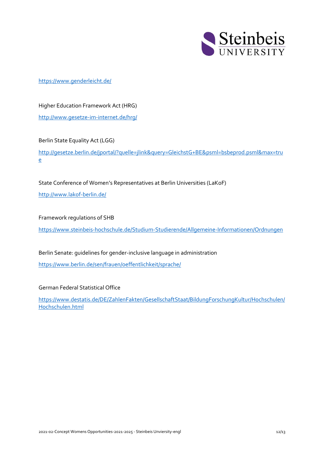

#### [https://www.genderleicht.de/](https://smex12-5-en-ctp.trendmicro.com/wis/clicktime/v1/query?url=https%3a%2f%2fwww.genderleicht.de&umid=04a47f3c-6c22-4104-8890-d2b3ed959941&auth=20b97da8a6668f48379bb27cef6e0c7376049585-52e6b19b81fa025ad802524c49a329eb93699301)

Higher Education Framework Act (HRG) <http://www.gesetze-im-internet.de/hrg/>

#### Berlin State Equality Act (LGG)

[http://gesetze.berlin.de/jportal/?quelle=jlink&query=GleichstG+BE&psml=bsbeprod.psml&max=tru](http://gesetze.berlin.de/jportal/?quelle=jlink&amp;query=GleichstG+BE&amp;psml=bsbeprod.psml&amp;max=true) [e](http://gesetze.berlin.de/jportal/?quelle=jlink&amp;query=GleichstG+BE&amp;psml=bsbeprod.psml&amp;max=true)

State Conference of Women's Representatives at Berlin Universities (LaKoF)

<http://www.lakof-berlin.de/>

Framework regulations of SHB

<https://www.steinbeis-hochschule.de/Studium-Studierende/Allgemeine-Informationen/Ordnungen>

Berlin Senate: guidelines for gender-inclusive language in administration <https://www.berlin.de/sen/frauen/oeffentlichkeit/sprache/>

German Federal Statistical Office

[https://www.destatis.de/DE/ZahlenFakten/GesellschaftStaat/BildungForschungKultur/Hochschulen/](https://www.destatis.de/DE/ZahlenFakten/GesellschaftStaat/BildungForschungKultur/Hochschulen/Hochschulen.html) [Hochschulen.html](https://www.destatis.de/DE/ZahlenFakten/GesellschaftStaat/BildungForschungKultur/Hochschulen/Hochschulen.html)